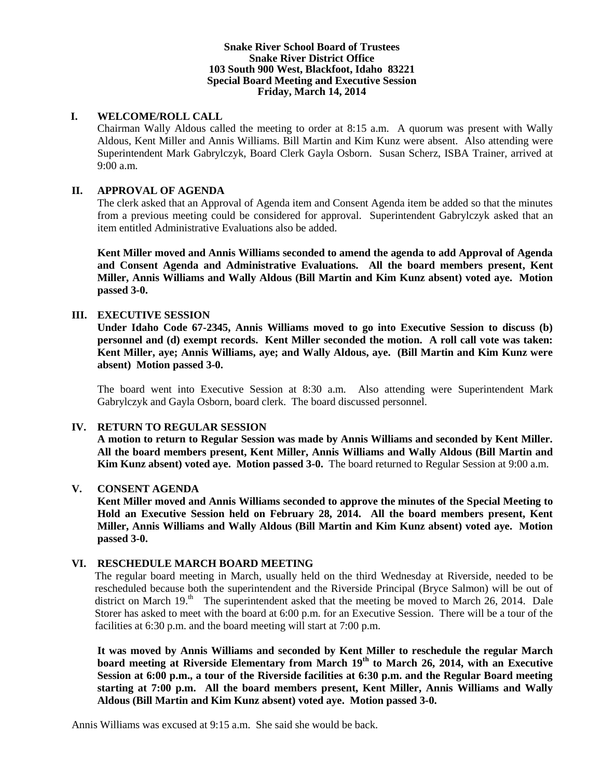## **Snake River School Board of Trustees Snake River District Office 103 South 900 West, Blackfoot, Idaho 83221 Special Board Meeting and Executive Session Friday, March 14, 2014**

## **I. WELCOME/ROLL CALL**

Chairman Wally Aldous called the meeting to order at 8:15 a.m. A quorum was present with Wally Aldous, Kent Miller and Annis Williams. Bill Martin and Kim Kunz were absent. Also attending were Superintendent Mark Gabrylczyk, Board Clerk Gayla Osborn. Susan Scherz, ISBA Trainer, arrived at 9:00 a.m.

# **II. APPROVAL OF AGENDA**

The clerk asked that an Approval of Agenda item and Consent Agenda item be added so that the minutes from a previous meeting could be considered for approval. Superintendent Gabrylczyk asked that an item entitled Administrative Evaluations also be added.

**Kent Miller moved and Annis Williams seconded to amend the agenda to add Approval of Agenda and Consent Agenda and Administrative Evaluations. All the board members present, Kent Miller, Annis Williams and Wally Aldous (Bill Martin and Kim Kunz absent) voted aye. Motion passed 3-0.**

# **III. EXECUTIVE SESSION**

**Under Idaho Code 67-2345, Annis Williams moved to go into Executive Session to discuss (b) personnel and (d) exempt records. Kent Miller seconded the motion. A roll call vote was taken: Kent Miller, aye; Annis Williams, aye; and Wally Aldous, aye. (Bill Martin and Kim Kunz were absent) Motion passed 3-0.** 

The board went into Executive Session at 8:30 a.m. Also attending were Superintendent Mark Gabrylczyk and Gayla Osborn, board clerk. The board discussed personnel.

# **IV. RETURN TO REGULAR SESSION**

**A motion to return to Regular Session was made by Annis Williams and seconded by Kent Miller. All the board members present, Kent Miller, Annis Williams and Wally Aldous (Bill Martin and Kim Kunz absent) voted aye. Motion passed 3-0.** The board returned to Regular Session at 9:00 a.m.

### **V. CONSENT AGENDA**

**Kent Miller moved and Annis Williams seconded to approve the minutes of the Special Meeting to Hold an Executive Session held on February 28, 2014. All the board members present, Kent Miller, Annis Williams and Wally Aldous (Bill Martin and Kim Kunz absent) voted aye. Motion passed 3-0.**

# **VI. RESCHEDULE MARCH BOARD MEETING**

The regular board meeting in March, usually held on the third Wednesday at Riverside, needed to be rescheduled because both the superintendent and the Riverside Principal (Bryce Salmon) will be out of district on March 19.<sup>th</sup> The superintendent asked that the meeting be moved to March 26, 2014. Dale Storer has asked to meet with the board at 6:00 p.m. for an Executive Session. There will be a tour of the facilities at 6:30 p.m. and the board meeting will start at 7:00 p.m.

**It was moved by Annis Williams and seconded by Kent Miller to reschedule the regular March board meeting at Riverside Elementary from March 19th to March 26, 2014, with an Executive Session at 6:00 p.m., a tour of the Riverside facilities at 6:30 p.m. and the Regular Board meeting starting at 7:00 p.m. All the board members present, Kent Miller, Annis Williams and Wally Aldous (Bill Martin and Kim Kunz absent) voted aye. Motion passed 3-0.**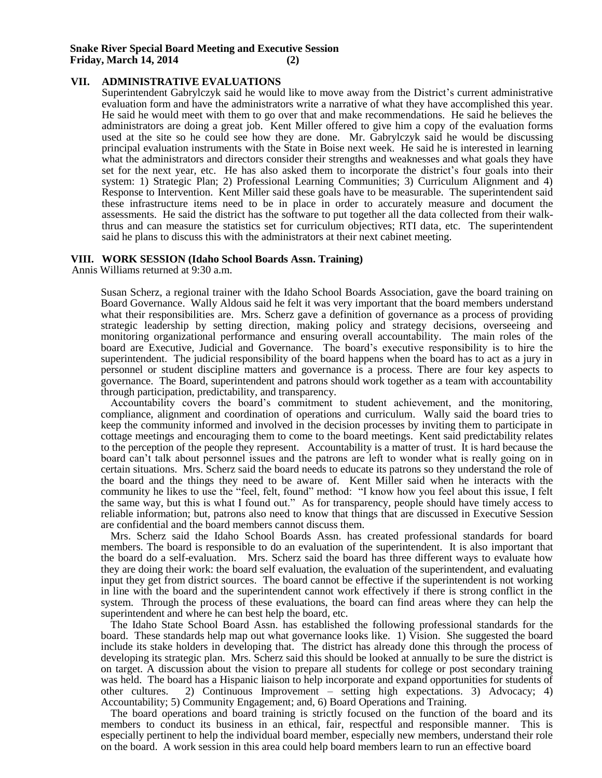### **VII. ADMINISTRATIVE EVALUATIONS**

Superintendent Gabrylczyk said he would like to move away from the District's current administrative evaluation form and have the administrators write a narrative of what they have accomplished this year. He said he would meet with them to go over that and make recommendations. He said he believes the administrators are doing a great job. Kent Miller offered to give him a copy of the evaluation forms used at the site so he could see how they are done. Mr. Gabrylczyk said he would be discussing principal evaluation instruments with the State in Boise next week. He said he is interested in learning what the administrators and directors consider their strengths and weaknesses and what goals they have set for the next year, etc. He has also asked them to incorporate the district's four goals into their system: 1) Strategic Plan; 2) Professional Learning Communities; 3) Curriculum Alignment and 4) Response to Intervention. Kent Miller said these goals have to be measurable. The superintendent said these infrastructure items need to be in place in order to accurately measure and document the assessments. He said the district has the software to put together all the data collected from their walkthrus and can measure the statistics set for curriculum objectives; RTI data, etc. The superintendent said he plans to discuss this with the administrators at their next cabinet meeting.

### **VIII. WORK SESSION (Idaho School Boards Assn. Training)**

Annis Williams returned at 9:30 a.m.

Susan Scherz, a regional trainer with the Idaho School Boards Association, gave the board training on Board Governance. Wally Aldous said he felt it was very important that the board members understand what their responsibilities are. Mrs. Scherz gave a definition of governance as a process of providing strategic leadership by setting direction, making policy and strategy decisions, overseeing and monitoring organizational performance and ensuring overall accountability. The main roles of the board are Executive, Judicial and Governance. The board's executive responsibility is to hire the superintendent. The judicial responsibility of the board happens when the board has to act as a jury in personnel or student discipline matters and governance is a process. There are four key aspects to governance. The Board, superintendent and patrons should work together as a team with accountability through participation, predictability, and transparency.

Accountability covers the board's commitment to student achievement, and the monitoring, compliance, alignment and coordination of operations and curriculum. Wally said the board tries to keep the community informed and involved in the decision processes by inviting them to participate in cottage meetings and encouraging them to come to the board meetings. Kent said predictability relates to the perception of the people they represent. Accountability is a matter of trust. It is hard because the board can't talk about personnel issues and the patrons are left to wonder what is really going on in certain situations. Mrs. Scherz said the board needs to educate its patrons so they understand the role of the board and the things they need to be aware of. Kent Miller said when he interacts with the community he likes to use the "feel, felt, found" method: "I know how you feel about this issue, I felt the same way, but this is what I found out." As for transparency, people should have timely access to reliable information; but, patrons also need to know that things that are discussed in Executive Session are confidential and the board members cannot discuss them.

Mrs. Scherz said the Idaho School Boards Assn. has created professional standards for board members. The board is responsible to do an evaluation of the superintendent. It is also important that the board do a self-evaluation. Mrs. Scherz said the board has three different ways to evaluate how they are doing their work: the board self evaluation, the evaluation of the superintendent, and evaluating input they get from district sources. The board cannot be effective if the superintendent is not working in line with the board and the superintendent cannot work effectively if there is strong conflict in the system. Through the process of these evaluations, the board can find areas where they can help the superintendent and where he can best help the board, etc.

The Idaho State School Board Assn. has established the following professional standards for the board. These standards help map out what governance looks like. 1) Vision. She suggested the board include its stake holders in developing that. The district has already done this through the process of developing its strategic plan. Mrs. Scherz said this should be looked at annually to be sure the district is on target. A discussion about the vision to prepare all students for college or post secondary training was held. The board has a Hispanic liaison to help incorporate and expand opportunities for students of other cultures. 2) Continuous Improvement – setting high expectations. 3) Advocacy; 4) Accountability; 5) Community Engagement; and, 6) Board Operations and Training.

The board operations and board training is strictly focused on the function of the board and its members to conduct its business in an ethical, fair, respectful and responsible manner. This is especially pertinent to help the individual board member, especially new members, understand their role on the board. A work session in this area could help board members learn to run an effective board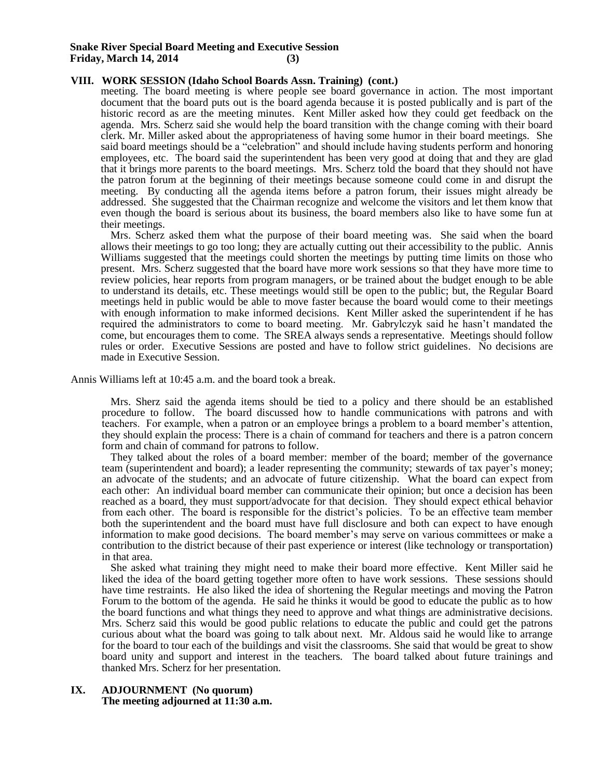#### **Snake River Special Board Meeting and Executive Session Friday, March 14, 2014 (3)**

### **VIII. WORK SESSION (Idaho School Boards Assn. Training) (cont.)**

meeting. The board meeting is where people see board governance in action. The most important document that the board puts out is the board agenda because it is posted publically and is part of the historic record as are the meeting minutes. Kent Miller asked how they could get feedback on the agenda. Mrs. Scherz said she would help the board transition with the change coming with their board clerk. Mr. Miller asked about the appropriateness of having some humor in their board meetings. She said board meetings should be a "celebration" and should include having students perform and honoring employees, etc. The board said the superintendent has been very good at doing that and they are glad that it brings more parents to the board meetings. Mrs. Scherz told the board that they should not have the patron forum at the beginning of their meetings because someone could come in and disrupt the meeting. By conducting all the agenda items before a patron forum, their issues might already be addressed. She suggested that the Chairman recognize and welcome the visitors and let them know that even though the board is serious about its business, the board members also like to have some fun at their meetings.

Mrs. Scherz asked them what the purpose of their board meeting was. She said when the board allows their meetings to go too long; they are actually cutting out their accessibility to the public. Annis Williams suggested that the meetings could shorten the meetings by putting time limits on those who present. Mrs. Scherz suggested that the board have more work sessions so that they have more time to review policies, hear reports from program managers, or be trained about the budget enough to be able to understand its details, etc. These meetings would still be open to the public; but, the Regular Board meetings held in public would be able to move faster because the board would come to their meetings with enough information to make informed decisions. Kent Miller asked the superintendent if he has required the administrators to come to board meeting. Mr. Gabrylczyk said he hasn't mandated the come, but encourages them to come. The SREA always sends a representative. Meetings should follow rules or order. Executive Sessions are posted and have to follow strict guidelines. No decisions are made in Executive Session.

Annis Williams left at 10:45 a.m. and the board took a break.

Mrs. Sherz said the agenda items should be tied to a policy and there should be an established procedure to follow. The board discussed how to handle communications with patrons and with teachers. For example, when a patron or an employee brings a problem to a board member's attention, they should explain the process: There is a chain of command for teachers and there is a patron concern form and chain of command for patrons to follow.

They talked about the roles of a board member: member of the board; member of the governance team (superintendent and board); a leader representing the community; stewards of tax payer's money; an advocate of the students; and an advocate of future citizenship. What the board can expect from each other: An individual board member can communicate their opinion; but once a decision has been reached as a board, they must support/advocate for that decision. They should expect ethical behavior from each other. The board is responsible for the district's policies. To be an effective team member both the superintendent and the board must have full disclosure and both can expect to have enough information to make good decisions. The board member's may serve on various committees or make a contribution to the district because of their past experience or interest (like technology or transportation) in that area.

She asked what training they might need to make their board more effective. Kent Miller said he liked the idea of the board getting together more often to have work sessions. These sessions should have time restraints. He also liked the idea of shortening the Regular meetings and moving the Patron Forum to the bottom of the agenda. He said he thinks it would be good to educate the public as to how the board functions and what things they need to approve and what things are administrative decisions. Mrs. Scherz said this would be good public relations to educate the public and could get the patrons curious about what the board was going to talk about next. Mr. Aldous said he would like to arrange for the board to tour each of the buildings and visit the classrooms. She said that would be great to show board unity and support and interest in the teachers. The board talked about future trainings and thanked Mrs. Scherz for her presentation.

### **IX. ADJOURNMENT (No quorum) The meeting adjourned at 11:30 a.m.**